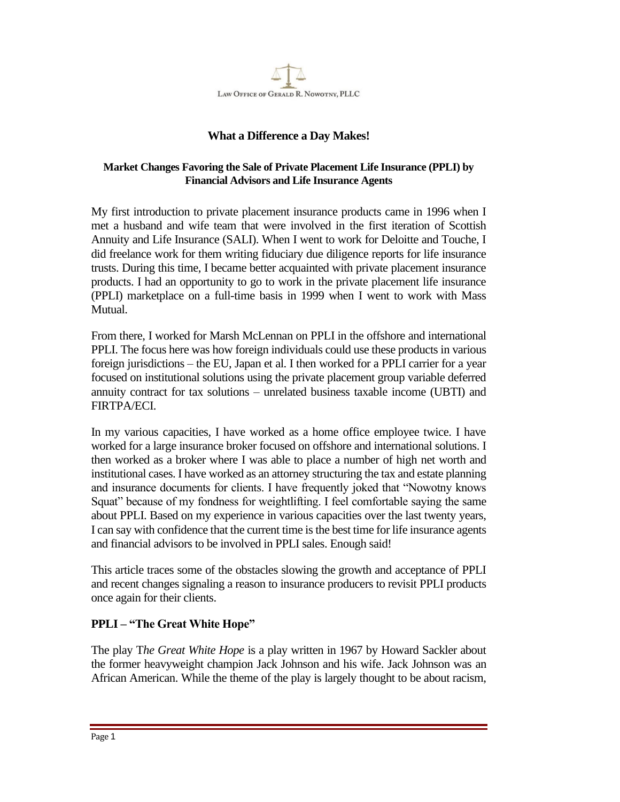

## **What a Difference a Day Makes!**

## **Market Changes Favoring the Sale of Private Placement Life Insurance (PPLI) by Financial Advisors and Life Insurance Agents**

My first introduction to private placement insurance products came in 1996 when I met a husband and wife team that were involved in the first iteration of Scottish Annuity and Life Insurance (SALI). When I went to work for Deloitte and Touche, I did freelance work for them writing fiduciary due diligence reports for life insurance trusts. During this time, I became better acquainted with private placement insurance products. I had an opportunity to go to work in the private placement life insurance (PPLI) marketplace on a full-time basis in 1999 when I went to work with Mass Mutual.

From there, I worked for Marsh McLennan on PPLI in the offshore and international PPLI. The focus here was how foreign individuals could use these products in various foreign jurisdictions – the EU, Japan et al. I then worked for a PPLI carrier for a year focused on institutional solutions using the private placement group variable deferred annuity contract for tax solutions – unrelated business taxable income (UBTI) and FIRTPA/ECI.

In my various capacities, I have worked as a home office employee twice. I have worked for a large insurance broker focused on offshore and international solutions. I then worked as a broker where I was able to place a number of high net worth and institutional cases. I have worked as an attorney structuring the tax and estate planning and insurance documents for clients. I have frequently joked that "Nowotny knows Squat" because of my fondness for weightlifting. I feel comfortable saying the same about PPLI. Based on my experience in various capacities over the last twenty years, I can say with confidence that the current time is the best time for life insurance agents and financial advisors to be involved in PPLI sales. Enough said!

This article traces some of the obstacles slowing the growth and acceptance of PPLI and recent changes signaling a reason to insurance producers to revisit PPLI products once again for their clients.

## **PPLI – "The Great White Hope"**

The play T*he Great White Hope* is a play written in 1967 by Howard Sackler about the former heavyweight champion Jack Johnson and his wife. Jack Johnson was an African American. While the theme of the play is largely thought to be about racism,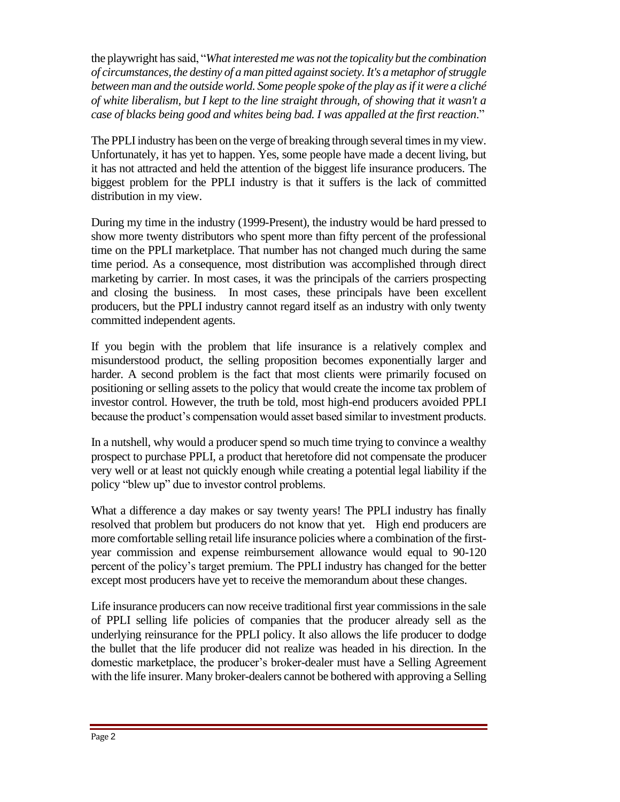the playwright has said, "*What interested me was not the topicality but the combination of circumstances, the destiny of a man pitted against society. It's a metaphor of struggle between man and the outside world. Some people spoke of the play as if it were a cliché of white liberalism, but I kept to the line straight through, of showing that it wasn't a case of blacks being good and whites being bad. I was appalled at the first reaction*."

The PPLI industry has been on the verge of breaking through several times in my view. Unfortunately, it has yet to happen. Yes, some people have made a decent living, but it has not attracted and held the attention of the biggest life insurance producers. The biggest problem for the PPLI industry is that it suffers is the lack of committed distribution in my view.

During my time in the industry (1999-Present), the industry would be hard pressed to show more twenty distributors who spent more than fifty percent of the professional time on the PPLI marketplace. That number has not changed much during the same time period. As a consequence, most distribution was accomplished through direct marketing by carrier. In most cases, it was the principals of the carriers prospecting and closing the business. In most cases, these principals have been excellent producers, but the PPLI industry cannot regard itself as an industry with only twenty committed independent agents.

If you begin with the problem that life insurance is a relatively complex and misunderstood product, the selling proposition becomes exponentially larger and harder. A second problem is the fact that most clients were primarily focused on positioning or selling assets to the policy that would create the income tax problem of investor control. However, the truth be told, most high-end producers avoided PPLI because the product's compensation would asset based similar to investment products.

In a nutshell, why would a producer spend so much time trying to convince a wealthy prospect to purchase PPLI, a product that heretofore did not compensate the producer very well or at least not quickly enough while creating a potential legal liability if the policy "blew up" due to investor control problems.

What a difference a day makes or say twenty years! The PPLI industry has finally resolved that problem but producers do not know that yet. High end producers are more comfortable selling retail life insurance policies where a combination of the firstyear commission and expense reimbursement allowance would equal to 90-120 percent of the policy's target premium. The PPLI industry has changed for the better except most producers have yet to receive the memorandum about these changes.

Life insurance producers can now receive traditional first year commissions in the sale of PPLI selling life policies of companies that the producer already sell as the underlying reinsurance for the PPLI policy. It also allows the life producer to dodge the bullet that the life producer did not realize was headed in his direction. In the domestic marketplace, the producer's broker-dealer must have a Selling Agreement with the life insurer. Many broker-dealers cannot be bothered with approving a Selling